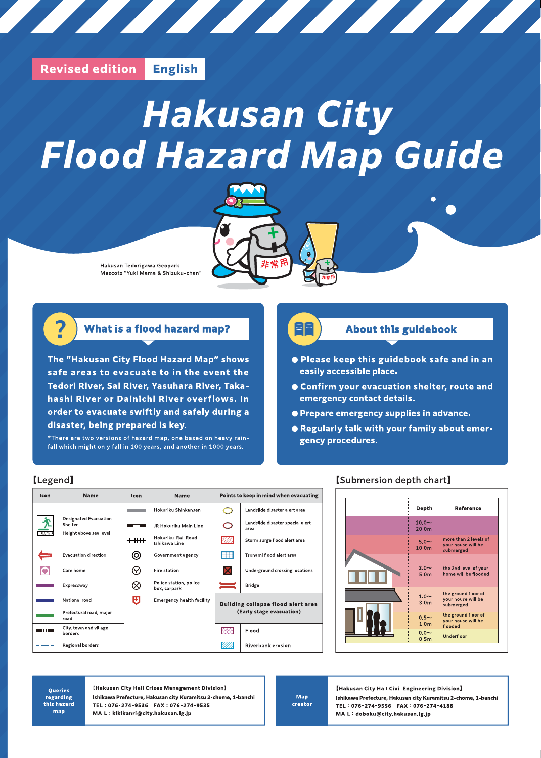#### **Revised edition English**

# **Hakusan City Flood Hazard Map Guide**

<u> The Community of the Community of the Community of the Community of the Community of the Community of the Community of the Community of the Community of the Community of the Community of the Community of the Community of</u>



### **What is a flood hazard map?**

The "Hakusan City Flood Hazard Map" shows safe areas to evacuate to in the event the Tedori River, Sai River, Yasuhara River, Takahashi River or Dainichi River overflows. In order to evacuate swiftly and safely during a disaster, being prepared is key.

\*There are two versions of hazard map, one based on heavy rainfall which might only fall in 100 years, and another in 1000 years.

## ee

## **About this guidebook**

- Please keep this guidebook safe and in an easily accessible place.
- Confirm your evacuation shelter, route and emergency contact details.
- **Prepare emergency supplies in advance.**
- . Regularly talk with your family about emergency procedures.

#### [Legend]

| Icon             | Name                                    | Icon        | <b>Name</b>                            | Points to keep in mind when evacuating |                                          |  |
|------------------|-----------------------------------------|-------------|----------------------------------------|----------------------------------------|------------------------------------------|--|
|                  |                                         |             | Hokuriku Shinkansen                    |                                        | Landslide disaster alert area            |  |
|                  | <b>Designated Evacuation</b><br>Shelter | --          | JR Hokuriku Main Line                  | ◯                                      | Landslide disaster special alert<br>area |  |
| 0.0 <sub>m</sub> | Height above sea level                  | ++++++      | Hokuriku-Rail Road<br>Ishikawa Line    | .<br>WW                                | Storm surge flood alert area             |  |
|                  | <b>Evacuation direction</b>             | (O)         | Government agency                      | m                                      | Tsunami flood alert area                 |  |
| $\bullet$        | Care home                               | $(\forall)$ | Fire station                           |                                        | Underground crossing locations           |  |
|                  | Expressway                              |             | Police station, police<br>box, carpark |                                        | <b>Bridge</b>                            |  |
|                  | National road                           | o           | <b>Emergency health facility</b>       |                                        | Building collapse flood alert area       |  |
|                  | Prefectural road, major<br>road         |             |                                        | (Early stage evacuation)               |                                          |  |
| ---              | City, town and village<br>borders       |             |                                        | <b>Koo</b>                             | Flood                                    |  |
|                  | Regional borders                        |             |                                        | Riverbank erosion                      |                                          |  |

#### [Submersion depth chart]



**Oueries** regarding this hazard map

[Hakusan City Hall Crises Management Division] Ishikawa Prefecture, Hakusan city Kuramitsu 2-chome, 1-banchi TEL: 076-274-9536 FAX: 076-274-9535 MAIL: kikikanri@city.hakusan.lg.jp

Map creator

[Hakusan City Hall Civil Engineering Division] Ishikawa Prefecture, Hakusan city Kuramitsu 2-chome, 1-banchi TEL: 076-274-9556 FAX: 076-274-4188 MAIL: doboku@city.hakusan.lg.jp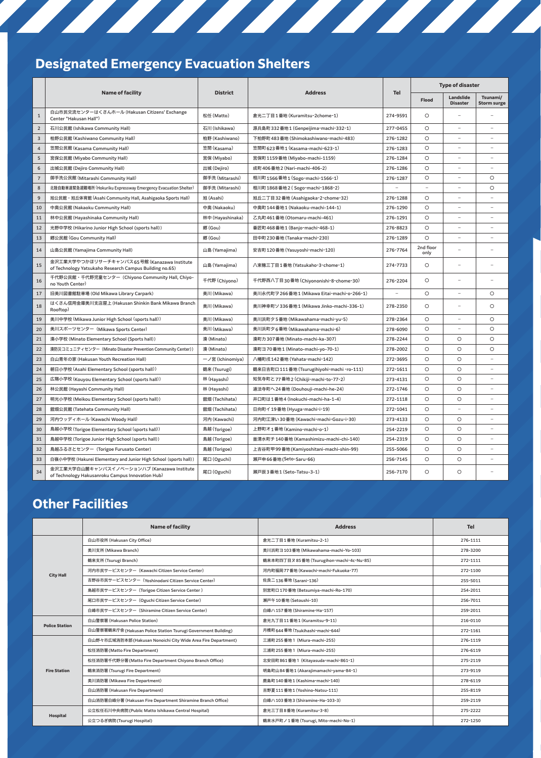# Designated Emergency Evacuation Shelters

|                |                                                                                                        |                  | <b>Address</b>                             | Tel      | <b>Type of disaster</b> |                              |                                |
|----------------|--------------------------------------------------------------------------------------------------------|------------------|--------------------------------------------|----------|-------------------------|------------------------------|--------------------------------|
|                | <b>Name of facility</b>                                                                                | <b>District</b>  |                                            |          | Flood                   | Landslide<br><b>Disaster</b> | Tsunami/<br><b>Storm surge</b> |
| $\mathbf{1}$   | 白山市民交流センターはくさんホール (Hakusan Citizens' Exchange<br>Center "Hakusan Hall")                                | 松任 (Matto)       | 盒光二丁目1番地 (Kuramitsu-2chome-1)              | 274-9591 | $\circ$                 |                              |                                |
| $\overline{2}$ | 石川公民館 (Ishikawa Community Hall)                                                                        | 石川 (Ishikawa)    | 源兵島町332番地1 (Genpeijima-machi-332-1)        | 277-0455 | $\circ$                 | $\overline{a}$               | $\overline{\phantom{0}}$       |
| $\overline{3}$ | 柏野公民館 (Kashiwano Community Hall)                                                                       | 柏野 (Kashiwano)   | 下柏野町 483 番地 (Shimokashiwano-machi-483)     | 276-1282 | $\circ$                 | $\overline{\phantom{a}}$     |                                |
| $\overline{4}$ | 笠間公民館 (Kasama Community Hall)                                                                          | 笠間 (Kasama)      | 笠間町 623 番地1 (Kasama-machi-623-1)           | 276-1283 | $\circ$                 | ۳                            |                                |
| 5              | 宮保公民館 (Miyabo Community Hall)                                                                          | 宮保 (Miyabo)      | 宮保町 1159番地 (Miyabo-machi-1159)             | 276-1284 | $\circ$                 | ÷.                           |                                |
| 6              | 出城公民館 (Dejiro Community Hall)                                                                          | 出城 (Dejiro)      | 成町 406 番地 2 (Nari-machi-406-2)             | 276-1286 | $\circ$                 | ÷.                           |                                |
| $\overline{7}$ | 御手洗公民館 (Mitarashi Community Hall)                                                                      | 御手洗 (Mitarashi)  | 相川町 1566 番地1 (Sogo-machi-1566-1)           | 276-1287 | $\circ$                 | $\overline{a}$               | $\circ$                        |
| 8              | 北陸自動車道緊急避難場所 (Hokuriku Expressway Emergency Evacuation Shelter)                                        | 御手洗 (Mitarashi)  | 相川町 1868 番地2 (Sogo-machi-1868-2)           | ÷        | $\sim$                  | ÷,                           | $\circ$                        |
| 9              | 旭公民館・旭丘体育館 (Asahi Community Hall, Asahigaoka Sports Hall)                                              | 旭 (Asahi)        | 旭丘二丁目 32 番地 (Asahigaoka-2-chome-32)        | 276-1288 | $\circ$                 | $\overline{\phantom{a}}$     | $\overline{\phantom{a}}$       |
| 10             | 中奥公民館 (Nakaoku Community Hall)                                                                         | 中奥 (Nakaoku)     | 中奥町 144番地1 (Nakaoku-machi-144-1)           | 276-1290 | $\circ$                 |                              |                                |
| 11             | 林中公民館 (Hayashinaka Community Hall)                                                                     | 林中 (Hayashinaka) | 乙丸町 461番地 (Otomaru-machi-461)              | 276-1291 | $\circ$                 | $\overline{\phantom{a}}$     | $\overline{\phantom{a}}$       |
| 12             | 光野中学校 (Hikarino Junior High School (sports hall))                                                      | 郷(Gou)           | 番匠町 468 番地1 (Banjo-machi-468-1)            | 276-8823 | $\circ$                 | L.                           |                                |
| 13             | 郷公民館 (Gou Community Hall)                                                                              | 郷(Gou)           | 田中町 230 番地 (Tanaka-machi-230)              | 276-1289 | $\circ$                 | L.                           |                                |
| 14             | 山島公民館 (Yamajima Community Hall)                                                                        | 山島 (Yamajima)    | 安吉町 120番地 (Yasuyoshi-machi-120)            | 276-7764 | 2nd floor<br>only       |                              |                                |
| 15             | 金沢工業大学やつかほリサーチキャンパス65号館 (Kanazawa Institute<br>of Technology Yatsukaho Research Campus Building no.65) | 山島 (Yamajima)    | 八束穂三丁目1番地 (Yatsukaho-3-chome-1)            | 274-7733 | $\circ$                 | ÷.                           |                                |
| 16             | 千代野公民館・千代野児童センター (Chiyono Community Hall, Chiyo-<br>no Youth Center)                                   | 千代野 (Chiyono)    | 千代野西八丁目30番地 (Chiyononishi-8-chome-30)      | 276-2204 | $\circ$                 | L,                           |                                |
| 17             | 旧美川図書館駐車場 (Old Mikawa Library Carpark)                                                                 | 美川 (Mikawa)      | 美川永代町ヲ266番地1 (Mikawa Eitai-machi-o-266-1)  |          | $\circ$                 | ÷                            | $\circ$                        |
| 18             | はくさん信用金庫美川支店屋上 (Hakusan Shinkin Bank Mikawa Branch<br>Rooftop)                                         | 美川 (Mikawa)      | 美川神幸町ソ336番地1 (Mikawa Jinko-machi-336-1)    | 278-2350 | $\circ$                 | ۳                            | $\circ$                        |
| 19             | 美川中学校 (Mikawa Junior High School (sports hall))                                                        | 美川 (Mikawa)      | 美川浜町夕5番地 (Mikawahama-machi-yu-5)           | 278-2364 | $\circ$                 | $\overline{\phantom{a}}$     | $\circ$                        |
| 20             | 美川スポーツセンター (Mikawa Sports Center)                                                                      | 美川 (Mikawa)      | 美川浜町夕6番地 (Mikawahama-machi-6)              | 278-6090 | $\circ$                 | $\overline{\phantom{a}}$     | $\circ$                        |
| 21             | 湊小学校 (Minato Elementary School (Sports hall))                                                          | 湊 (Minato)       | 湊町カ307番地 (Minato-machi-ka-307)             | 278-2244 | $\circ$                 | $\circ$                      | $\circ$                        |
| 22             | 湊防災コミュニティセンター (Minato Disaster Prevention Community Center))                                           | 湊 (Minato)       | 湊町ヨ70番地1 (Minato-machi-yo-70-1)            | 278-2002 | $\circ$                 | $\circ$                      | O                              |
| 23             | 白山青年の家 (Hakusan Youth Recreation Hall)                                                                 | ーノ宮 (Ichinomiya) | 八幡町戌142番地 (Yahata-machi-142)               | 272-3695 | $\circ$                 | $\circ$                      |                                |
| 24             | 朝日小学校 (Asahi Elementary School (sports hall))                                                          | 鶴来 (Tsurugi)     | 鶴来日吉町口 111番地 (Tsurugihiyohi-machi -ro-111) | 272-1611 | $\circ$                 | $\circ$                      |                                |
| 25             | 広陽小学校 (Kouyou Elementary School (sports hall))                                                         | 林 (Hayashi)      | 知気寺町と77番地2 (Chikiji-machi-to-77-2)         | 273-4131 | $\circ$                 | $\circ$                      | ٠                              |
| 26             | 林公民館 (Hayashi Community Hall)                                                                          | 林 (Hayashi)      | 道法寺町へ24番地 (Douhouji-machi-he-24)           | 272-1746 | $\circ$                 | $\circ$                      |                                |
| 27             | 明光小学校 (Meikou Elementary School (sports hall))                                                         | 舘畑 (Tachihata)   | 井口町は1番地4 (Inokuchi-machi-ha-1-4)           | 272-1118 | $\circ$                 | $\circ$                      | $\overline{\phantom{0}}$       |
| 28             | 舘畑公民館 (Tatehata Community Hall)                                                                        | 舘畑 (Tachihata)   | 日向町イ19番地 (Hyuga-machi-i-19)                | 272-1041 | $\circ$                 | $\overline{\phantom{a}}$     | $\overline{\phantom{0}}$       |
| 29             | 河内ウッディホール (Kawachi Woody Hall)                                                                         | 河内 (Kawachi)     | 河内町江津い 30番地 (Kawachi-machi-Gozu-i-30)      | 273-4133 | $\circ$                 | $\circ$                      |                                |
| 30             | 鳥越小学校 (Torigoe Elementary School (sports hall))                                                        | 鳥越 (Torigoe)     | 上野町オ1番地 (Kamino-machi-o-1)                 | 254-2219 | $\circ$                 | $\circ$                      |                                |
| 31             | 鳥越中学校 (Torigoe Junior High School (sports hall))                                                       | 鳥越 (Torigoe)     | 釜清水町チ140番地 (Kamashimizu-machi-chi-140)     | 254-2319 | $\circ$                 | $\circ$                      | $\overline{\phantom{a}}$       |
| 32             | 鳥越ふるさとセンター (Torigoe Furusato Center)                                                                   | 鳥越 (Torigoe)     | 上吉谷町甲99番地 (Kamiyoshitani-machi-shin-99)    | 255-5066 | $\circ$                 | $\circ$                      | ٠                              |
| 33             | 白嶺小中学校 (Hakurei Elementary and Junior High School (sports hall))                                       | 尾口(Oguchi)       | 瀬戸申66番地(Seto-Saru-66)                      | 256-7145 | $\circ$                 | $\circ$                      |                                |
| 34             | 金沢工業大学白山麓キャンパスイノベーションハブ (Kanazawa Institute<br>of Technology Hakusanroku Campus Innovation Hub)        | 尾口 (Oguchi)      | 瀬戸辰3番地1 (Seto-Tatsu-3-1)                   | 256-7170 | $\circ$                 | $\circ$                      |                                |

<u> 1977 - Johann John Stein, Amerikaansk filosoof beste beste beste beste beste beste beste beste beste beste b</u>

# Other Facilities

|                       | <b>Name of facility</b>                                        | <b>Address</b>                           | <b>Tel</b> |
|-----------------------|----------------------------------------------------------------|------------------------------------------|------------|
|                       | 白山市役所 (Hakusan City Office)                                    | 盒光二丁目1番地 (Kuramitsu-2-1)                 | 276-1111   |
|                       | 美川支所 (Mikawa Branch)                                           | 美川浜町ヨ103番地 (Mikawahama-machi-Yo-103)     | 278-3200   |
|                       | 鶴来支所 (Tsurugi Branch)                                          | 鶴来本町四丁目ヌ85番地 (Tsurugihon-machi-4c-Nu-85) | 272-1111   |
| <b>City Hall</b>      | 河内市民サービスセンター (Kawachi Citizen Service Center)                  | 河内町福岡 77番地 (Kawachi-machi-Fukuoka-77)    | 272-1100   |
|                       | 吉野谷市民サービスセンター (Yoshinodani Citizen Service Center)             | 佐良二136番地 (Sarani-136)                    | 255-5011   |
|                       | 鳥越市民サービスセンター (Torigoe Citizen Service Center)                  | 別宮町口170番地 (Betsumiya-machi-Ro-170)       | 254-2011   |
|                       | 尾口市民サービスセンター (Oguchi Citizen Service Center)                   | 瀬戸午10番地 (Setoushi-10)                    | 256-7011   |
|                       | 白峰市民サービスセンター (Shiramine Citizen Service Center)                | 白峰八157番地 (Shiramine-Ha-157)              | 259-2011   |
| <b>Police Station</b> | 白山警察署 (Hakusan Police Station)                                 | 盒光九丁目11番地1 (Kuramitsu-9-11)              | 216-0110   |
|                       | 白山警察署鶴来庁舎 (Hakusan Police Station Tsurugi Government Building) | 月橋町 644番地 (Tsukihashi-machi-644)         | 272-1161   |
|                       | 白山野々市広域消防本部 (Hakusan Nonoichi City Wide Area Fire Department)  | 三浦町 255番地1 (Miura-machi-255)             | 276-1119   |
|                       | 松任消防署 (Matto Fire Department)                                  | 三浦町 255番地1 (Miura-machi-255)             | 276-6119   |
|                       | 松任消防署千代野分署 (Matto Fire Department Chiyono Branch Office)       | 北安田町 861番地1 (Kitayasuda-machi-861-1)     | 275-2119   |
| <b>Fire Station</b>   | 鶴来消防署 (Tsurugi Fire Department)                                | 明島町山84番地1 (Akarajimamachi-yama-84-1)     | 273-9119   |
|                       | 美川消防署 (Mikawa Fire Department)                                 | 鹿島町140番地1 (Kashima-machi-140)            | 278-6119   |
|                       | 白山消防署 (Hakusan Fire Department)                                | 吉野夏111番地1 (Yoshino-Natsu-111)            | 255-8119   |
|                       | 白山消防署白峰分署 (Hakusan Fire Department Shiramine Branch Office)    | 白峰八103番地3 (Shiramine-Ha-103-3)           | 259-2119   |
|                       | 公立松任石川中央病院 (Public Matto Ishikawa Central Hospital)            | 盒光三丁目8番地 (Kuramitsu-3-8)                 | 275-2222   |
| Hospital              | 公立つるぎ病院 (Tsurugi Hospital)                                     | 鶴来水戸町ノ1番地 (Tsurugi, Mito-machi-No-1)     | 272-1250   |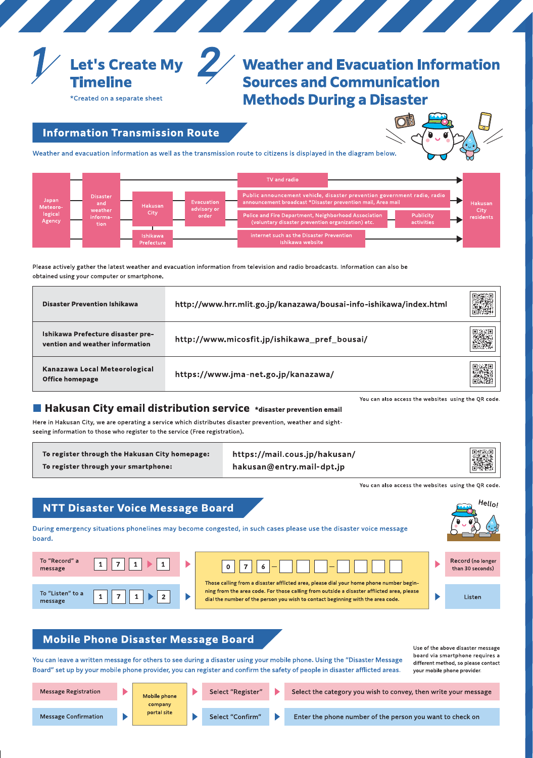

# **Weather and Evacuation Information Sources and Communication Methods During a Disaster**

\*Created on a separate sheet

**Information Transmission Route** 



Weather and evacuation information as well as the transmission route to citizens is displayed in the diagram below.



Please actively gather the latest weather and evacuation information from television and radio broadcasts. Information can also be obtained using your computer or smartphone.

| <b>Disaster Prevention Ishikawa</b>                                  | http://www.hrr.mlit.go.jp/kanazawa/bousai-info-ishikawa/index.html |  |
|----------------------------------------------------------------------|--------------------------------------------------------------------|--|
| Ishikawa Prefecture disaster pre-<br>vention and weather information | http://www.micosfit.jp/ishikawa_pref_bousai/                       |  |
| Kanazawa Local Meteorological<br><b>Office homepage</b>              | https://www.jma-net.go.jp/kanazawa/                                |  |

You can also access the websites using the QR code.

#### ■ Hakusan City email distribution service \*disaster prevention email

Here in Hakusan City, we are operating a service which distributes disaster prevention, weather and sightseeing information to those who register to the service (Free registration).

To register through the Hakusan City homepage: To register through your smartphone:

https://mail.cous.jp/hakusan/ hakusan@entry.mail-dpt.jp



You can also access the websites using the QR code.

## **NTT Disaster Voice Message Board**

During emergency situations phonelines may become congested, in such cases please use the disaster voice message board.

 $\mathbf{0}$ 

| To "Record" a<br>message    |  |
|-----------------------------|--|
| To "Listen" to a<br>message |  |



Those calling from a disaster afflicted area, please dial your home phone number beginning from the area code. For those calling from outside a disaster afflicted area, please dial the number of the person you wish to contact beginning with the area code.



Record (no longer than 30 seconds)

Listen

#### **Mobile Phone Disaster Message Board**

You can leave a written message for others to see during a disaster using your mobile phone. Using the "Disaster Message Board" set up by your mobile phone provider, you can register and confirm the safety of people in disaster afflicted areas.

Use of the above disaster message board via smartphone requires a different method, so please contact your mobile phone provider.

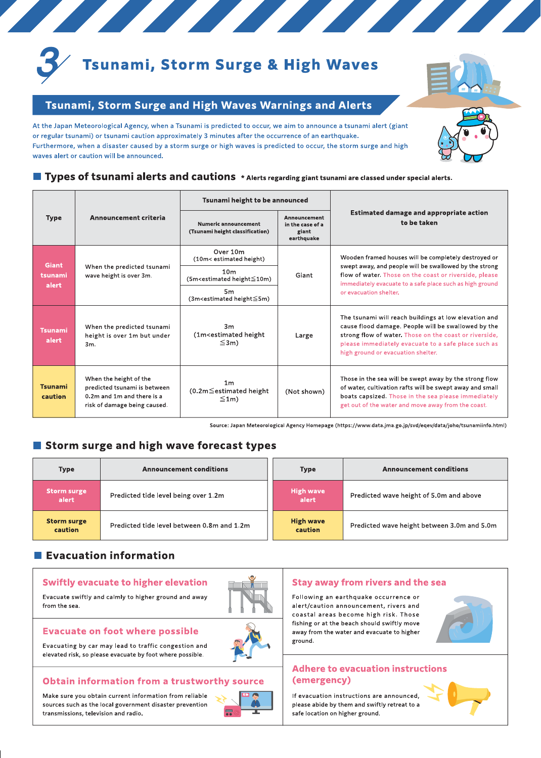

# **Tsunami, Storm Surge & High Waves**

## Tsunami, Storm Surge and High Waves Warnings and Alerts

Ø

At the Japan Meteorological Agency, when a Tsunami is predicted to occur, we aim to announce a tsunami alert (giant or regular tsunami) or tsunami caution approximately 3 minutes after the occurrence of an earthquake. Furthermore, when a disaster caused by a storm surge or high waves is predicted to occur, the storm surge and high waves alert or caution will be announced.



#### ■ Types of tsunami alerts and cautions \* Alerts regarding giant tsunami are classed under special alerts.

|                                  |                                                                                                                      | Tsunami height to be announced                                                                                                                                                                                                                                            |                                                         | <b>Estimated damage and appropriate action</b><br>to be taken                                                                                                                                                                                                       |  |  |
|----------------------------------|----------------------------------------------------------------------------------------------------------------------|---------------------------------------------------------------------------------------------------------------------------------------------------------------------------------------------------------------------------------------------------------------------------|---------------------------------------------------------|---------------------------------------------------------------------------------------------------------------------------------------------------------------------------------------------------------------------------------------------------------------------|--|--|
| <b>Type</b>                      | Announcement criteria                                                                                                | Numeric announcement<br>(Tsunami height classification)                                                                                                                                                                                                                   | Announcement<br>in the case of a<br>giant<br>earthquake |                                                                                                                                                                                                                                                                     |  |  |
|                                  |                                                                                                                      | Over 10m<br>(10m< estimated height)                                                                                                                                                                                                                                       |                                                         | Wooden framed houses will be completely destroyed or                                                                                                                                                                                                                |  |  |
| <b>Giant</b><br>tsunami<br>alert | When the predicted tsunami<br>wave height is over 3m.                                                                | 10 <sub>m</sub><br>(5m <estimated height≤10m)<="" td=""><td>Giant</td><td>swept away, and people will be swallowed by the strong<br/>flow of water. Those on the coast or riverside, please<br/>immediately evacuate to a safe place such as high ground</td></estimated> | Giant                                                   | swept away, and people will be swallowed by the strong<br>flow of water. Those on the coast or riverside, please<br>immediately evacuate to a safe place such as high ground                                                                                        |  |  |
|                                  |                                                                                                                      | 5 <sub>m</sub><br>(3m <estimated height≦5m)<="" td=""><td></td><td>or evacuation shelter.</td></estimated>                                                                                                                                                                |                                                         | or evacuation shelter.                                                                                                                                                                                                                                              |  |  |
| <b>Tsunami</b><br>alert          | When the predicted tsunami<br>height is over 1m but under<br>3m.                                                     | 3m<br>(1m <estimated height)<br=""><math>\leq</math>3m)</estimated>                                                                                                                                                                                                       | Large                                                   | The tsunami will reach buildings at low elevation and<br>cause flood damage. People will be swallowed by the<br>strong flow of water. Those on the coast or riverside,<br>please immediately evacuate to a safe place such as<br>high ground or evacuation shelter. |  |  |
| <b>Tsunami</b><br>caution        | When the height of the<br>predicted tsunami is between<br>0.2m and 1m and there is a<br>risk of damage being caused. | 1 <sub>m</sub><br>$(0.2m \le$ estimated height<br>$\leq 1m$                                                                                                                                                                                                               | (Not shown)                                             | Those in the sea will be swept away by the strong flow<br>of water, cultivation rafts will be swept away and small<br>boats capsized. Those in the sea please immediately<br>get out of the water and move away from the coast.                                     |  |  |

Source: Japan Meteorological Agency Homepage (https://www.data.jma.go.jp/svd/eqev/data/joho/tsunamiinfo.html)

## Storm surge and high wave forecast types

| <b>Announcement conditions</b><br><b>Type</b> |                                            | <b>Type</b>                 | <b>Announcement conditions</b>              |  |  |
|-----------------------------------------------|--------------------------------------------|-----------------------------|---------------------------------------------|--|--|
| <b>Storm surge</b><br>alert                   | Predicted tide level being over 1.2m       | <b>High wave</b><br>alert   | Predicted wave height of 5.0m and above     |  |  |
| <b>Storm surge</b><br>caution                 | Predicted tide level between 0.8m and 1.2m | <b>High wave</b><br>caution | Predicted wave height between 3.0m and 5.0m |  |  |

## Evacuation information

## **Swiftly evacuate to higher elevation**

Evacuate swiftly and calmly to higher ground and away from the sea.



#### **Evacuate on foot where possible**

Evacuating by car may lead to traffic congestion and elevated risk, so please evacuate by foot where possible.

#### **Obtain information from a trustworthy source**

Make sure you obtain current information from reliable sources such as the local government disaster prevention transmissions, television and radio.



#### **Stay away from rivers and the sea**

Following an earthquake occurrence or alert/caution announcement, rivers and coastal areas become high risk. Those fishing or at the beach should swiftly move away from the water and evacuate to higher ground.



#### **Adhere to evacuation instructions** (emergency)

If evacuation instructions are announced. please abide by them and swiftly retreat to a safe location on higher ground.

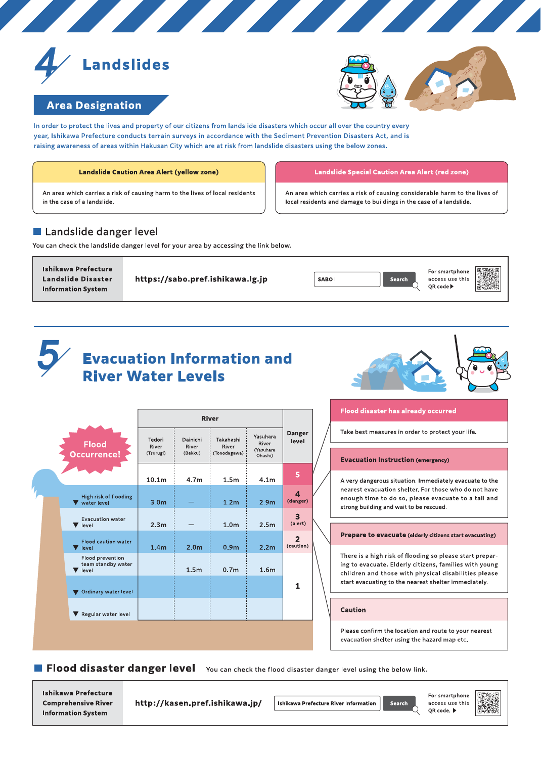



## **Area Designation**

In order to protect the lives and property of our citizens from landslide disasters which occur all over the country every year, Ishikawa Prefecture conducts terrain surveys in accordance with the Sediment Prevention Disasters Act, and is raising awareness of areas within Hakusan City which are at risk from landslide disasters using the below zones.

<u> The Barbara and a shear and a shear and a shear and a shear and a shear and a shear and a shear and a shear and a shear and a shear and a shear and a shear and a shear and a shear and a shear and a shear and a shear and </u>

#### **Landslide Caution Area Alert (yellow zone)**

An area which carries a risk of causing harm to the lives of local residents in the case of a landslide.

#### Landslide danger level

You can check the landslide danger level for your area by accessing the link below.

**Ishikawa Prefecture Landslide Disaster Information System** 

https://sabo.pref.ishikawa.lg.jp



**Landslide Special Caution Area Alert (red zone)** 

An area which carries a risk of causing considerable harm to the lives of

local residents and damage to buildings in the case of a landslide.

# **Evacuation Information and River Water Levels**



|                                                        | <b>River</b>                 |                              |                                    |                                           |                                     |
|--------------------------------------------------------|------------------------------|------------------------------|------------------------------------|-------------------------------------------|-------------------------------------|
| <b>Flood</b><br><b>Occurrence!</b>                     | Tedori<br>River<br>(Tsurugi) | Dainichi<br>River<br>(Bekku) | Takahashi<br>River<br>(Tonodagawa) | Yasuhara<br>River<br>(Yasuhara<br>Ohashi) | <b>Danger</b><br>level              |
|                                                        | 10.1 <sub>m</sub>            | 4.7m                         | 1.5 <sub>m</sub>                   | 4.1 <sub>m</sub>                          | 5                                   |
| High risk of flooding<br>water level                   | 3.0 <sub>m</sub>             |                              | 1.2 <sub>m</sub>                   | 2.9 <sub>m</sub>                          | $\overline{\mathbf{4}}$<br>(danger) |
| <b>Evacuation water</b><br>level                       | 2.3 <sub>m</sub>             |                              | 1.0 <sub>m</sub>                   | 2.5 <sub>m</sub>                          | 3<br>(alert)                        |
| <b>Flood caution water</b><br>V level                  | 1.4 <sub>m</sub>             | 2.0 <sub>m</sub>             | 0.9 <sub>m</sub>                   | 2.2 <sub>m</sub>                          | $\overline{2}$<br>(caution)         |
| <b>Flood prevention</b><br>team standby water<br>level |                              | 1.5 <sub>m</sub>             | 0.7 <sub>m</sub>                   | 1.6 <sub>m</sub>                          |                                     |
| Ordinary water level                                   |                              |                              |                                    |                                           | 1                                   |
| Regular water level                                    |                              |                              |                                    |                                           |                                     |

#### **Flood disaster has already occurred**

Take best measures in order to protect your life.

#### **Evacuation Instruction (emergency)**

A very dangerous situation. Immediately evacuate to the nearest evacuation shelter. For those who do not have enough time to do so, please evacuate to a tall and strong building and wait to be rescued.

#### Prepare to evacuate (elderly citizens start evacuating)

There is a high risk of flooding so please start preparing to evacuate. Elderly citizens, families with young children and those with physical disabilities please start evacuating to the nearest shelter immediately.

**Caution** 

Please confirm the location and route to your nearest evacuation shelter using the hazard map etc.

Flood disaster danger level You can check the flood disaster danger level using the below link.

**Ishikawa Prefecture Comprehensive River Information System** 

http://kasen.pref.ishikawa.jp/

**Ishikawa Prefecture River Information** 



For smartphone access use this QR code. ▶